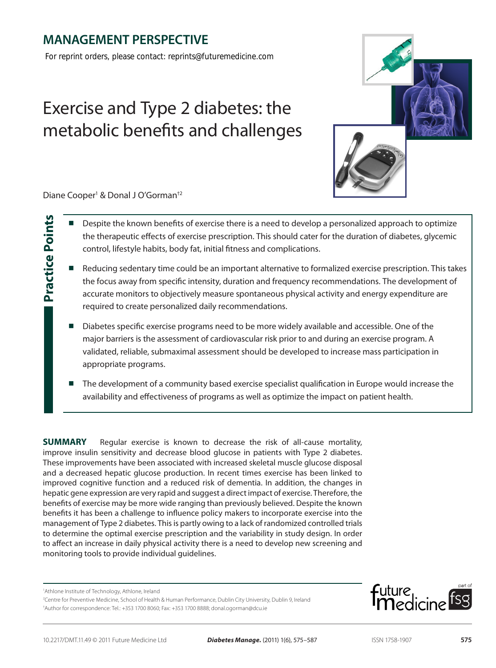# **MANAGEMENT PERSPECTIVE**

*For reprint orders, please contact: reprints@futuremedicine.com*

# Exercise and Type 2 diabetes: the metabolic benefits and challenges



Diane Cooper<sup>1</sup> & Donal J O'Gorman<sup>+2</sup>

**Practice Points**

**Practice Points** 

- Despite the known benefits of exercise there is a need to develop a personalized approach to optimize the therapeutic effects of exercise prescription. This should cater for the duration of diabetes, glycemic control, lifestyle habits, body fat, initial fitness and complications.
- Reducing sedentary time could be an important alternative to formalized exercise prescription. This takes the focus away from specific intensity, duration and frequency recommendations. The development of accurate monitors to objectively measure spontaneous physical activity and energy expenditure are required to create personalized daily recommendations.
- Diabetes specific exercise programs need to be more widely available and accessible. One of the major barriers is the assessment of cardiovascular risk prior to and during an exercise program. A validated, reliable, submaximal assessment should be developed to increase mass participation in appropriate programs.
- The development of a community based exercise specialist qualification in Europe would increase the availability and effectiveness of programs as well as optimize the impact on patient health.

**SUMMARY** Regular exercise is known to decrease the risk of all-cause mortality, improve insulin sensitivity and decrease blood glucose in patients with Type 2 diabetes. These improvements have been associated with increased skeletal muscle glucose disposal and a decreased hepatic glucose production. In recent times exercise has been linked to improved cognitive function and a reduced risk of dementia. In addition, the changes in hepatic gene expression are very rapid and suggest a direct impact of exercise. Therefore, the benefits of exercise may be more wide ranging than previously believed. Despite the known benefits it has been a challenge to influence policy makers to incorporate exercise into the management of Type 2 diabetes. This is partly owing to a lack of randomized controlled trials to determine the optimal exercise prescription and the variability in study design. In order to affect an increase in daily physical activity there is a need to develop new screening and monitoring tools to provide individual guidelines.

1 Athlone Institute of Technology, Athlone, Ireland

2 Centre for Preventive Medicine, School of Health & Human Performance, Dublin City University, Dublin 9, Ireland † Author for correspondence: Tel.: +353 1700 8060; Fax: +353 1700 8888; donal.ogorman@dcu.ie

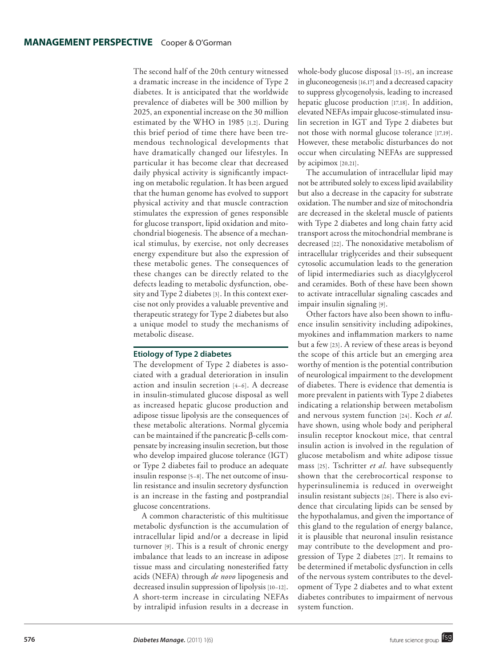The second half of the 20th century witnessed a dramatic increase in the incidence of Type 2 diabetes. It is anticipated that the worldwide prevalence of diabetes will be 300 million by 2025, an exponential increase on the 30 million estimated by the WHO in 1985 [1,2]. During this brief period of time there have been tremendous technological developments that have dramatically changed our lifestyles. In particular it has become clear that decreased daily physical activity is significantly impacting on metabolic regulation. It has been argued that the human genome has evolved to support physical activity and that muscle contraction stimulates the expression of genes responsible for glucose transport, lipid oxidation and mitochondrial biogenesis. The absence of a mechanical stimulus, by exercise, not only decreases energy expenditure but also the expression of these metabolic genes. The consequences of these changes can be directly related to the defects leading to metabolic dysfunction, obesity and Type 2 diabetes [3]. In this context exercise not only provides a valuable preventive and therapeutic strategy for Type 2 diabetes but also a unique model to study the mechanisms of metabolic disease.

#### **Etiology of Type 2 diabetes**

The development of Type 2 diabetes is associated with a gradual deterioration in insulin action and insulin secretion [4–6]. A decrease in insulin-stimulated glucose disposal as well as increased hepatic glucose production and adipose tissue lipolysis are the consequences of these metabolic alterations. Normal glycemia can be maintained if the pancreatic  $\beta$ -cells compensate by increasing insulin secretion, but those who develop impaired glucose tolerance (IGT) or Type 2 diabetes fail to produce an adequate insulin response [5–8]. The net outcome of insulin resistance and insulin secretory dysfunction is an increase in the fasting and postprandial glucose concentrations.

A common characteristic of this multitissue metabolic dysfunction is the accumulation of intracellular lipid and/or a decrease in lipid turnover [9]. This is a result of chronic energy imbalance that leads to an increase in adipose tissue mass and circulating nonesterified fatty acids (NEFA) through *de novo* lipogenesis and decreased insulin suppression of lipolysis [10–12]. A short-term increase in circulating NEFAs by intralipid infusion results in a decrease in whole-body glucose disposal [13–15], an increase in gluconeogenesis [16,17] and a decreased capacity to suppress glycogenolysis, leading to increased hepatic glucose production [17,18]. In addition, elevated NEFAs impair glucose-stimulated insulin secretion in IGT and Type 2 diabetes but not those with normal glucose tolerance [17,19]. However, these metabolic disturbances do not occur when circulating NEFAs are suppressed by acipimox [20,21].

The accumulation of intracellular lipid may not be attributed solely to excess lipid availability but also a decrease in the capacity for substrate oxidation. The number and size of mitochondria are decreased in the skeletal muscle of patients with Type 2 diabetes and long chain fatty acid transport across the mitochondrial membrane is decreased [22]. The nonoxidative metabolism of intracellular triglycerides and their subsequent cytosolic accumulation leads to the generation of lipid intermediaries such as diacylglycerol and ceramides. Both of these have been shown to activate intracellular signaling cascades and impair insulin signaling [9].

Other factors have also been shown to influence insulin sensitivity including adipokines, myokines and inflammation markers to name but a few [23]. A review of these areas is beyond the scope of this article but an emerging area worthy of mention is the potential contribution of neurological impairment to the development of diabetes. There is evidence that dementia is more prevalent in patients with Type 2 diabetes indicating a relationship between metabolism and nervous system function [24]. Koch *et al.* have shown, using whole body and peripheral insulin receptor knockout mice, that central insulin action is involved in the regulation of glucose metabolism and white adipose tissue mass [25]. Tschritter *et al.* have subsequently shown that the cerebrocortical response to hyperinsulinemia is reduced in overweight insulin resistant subjects [26]. There is also evidence that circulating lipids can be sensed by the hypothalamus, and given the importance of this gland to the regulation of energy balance, it is plausible that neuronal insulin resistance may contribute to the development and progression of Type 2 diabetes [27]. It remains to be determined if metabolic dysfunction in cells of the nervous system contributes to the development of Type 2 diabetes and to what extent diabetes contributes to impairment of nervous system function.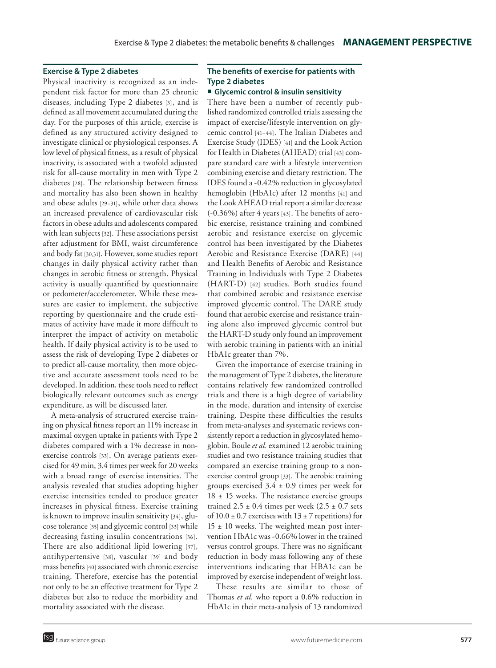#### **Exercise & Type 2 diabetes**

Physical inactivity is recognized as an independent risk factor for more than 25 chronic diseases, including Type 2 diabetes [3], and is defined as all movement accumulated during the day. For the purposes of this article, exercise is defined as any structured activity designed to investigate clinical or physiological responses. A low level of physical fitness, as a result of physical inactivity, is associated with a twofold adjusted risk for all-cause mortality in men with Type 2 diabetes [28]. The relationship between fitness and mortality has also been shown in healthy and obese adults [29–31], while other data shows an increased prevalence of cardiovascular risk factors in obese adults and adolescents compared with lean subjects [32]. These associations persist after adjustment for BMI, waist circumference and body fat [30,31]. However, some studies report changes in daily physical activity rather than changes in aerobic fitness or strength. Physical activity is usually quantified by questionnaire or pedometer/accelerometer. While these measures are easier to implement, the subjective reporting by questionnaire and the crude estimates of activity have made it more difficult to interpret the impact of activity on metabolic health. If daily physical activity is to be used to assess the risk of developing Type 2 diabetes or to predict all-cause mortality, then more objective and accurate assessment tools need to be developed. In addition, these tools need to reflect biologically relevant outcomes such as energy expenditure, as will be discussed later.

A meta-analysis of structured exercise training on physical fitness report an 11% increase in maximal oxygen uptake in patients with Type 2 diabetes compared with a 1% decrease in nonexercise controls [33]. On average patients exercised for 49 min, 3.4 times per week for 20 weeks with a broad range of exercise intensities. The analysis revealed that studies adopting higher exercise intensities tended to produce greater increases in physical fitness. Exercise training is known to improve insulin sensitivity [34], glucose tolerance[35] and glycemic control [33] while decreasing fasting insulin concentrations [36]. There are also additional lipid lowering [37], antihypertensive [38], vascular [39] and body mass benefits [40] associated with chronic exercise training. Therefore, exercise has the potential not only to be an effective treatment for Type 2 diabetes but also to reduce the morbidity and mortality associated with the disease.

# **The benefits of exercise for patients with Type 2 diabetes**

#### **Glycemic control & insulin sensitivity**

There have been a number of recently published randomized controlled trials assessing the impact of exercise/lifestyle intervention on glycemic control [41–44]. The Italian Diabetes and Exercise Study (IDES) [41] and the Look Action for Health in Diabetes (AHEAD) trial [43] compare standard care with a lifestyle intervention combining exercise and dietary restriction. The IDES found a -0.42% reduction in glycosylated hemoglobin (HbA1c) after 12 months [41] and the Look AHEAD trial report a similar decrease (-0.36%) after 4 years [43]. The benefits of aerobic exercise, resistance training and combined aerobic and resistance exercise on glycemic control has been investigated by the Diabetes Aerobic and Resistance Exercise (DARE) [44] and Health Benefits of Aerobic and Resistance Training in Individuals with Type 2 Diabetes (HART-D) [42] studies. Both studies found that combined aerobic and resistance exercise improved glycemic control. The DARE study found that aerobic exercise and resistance training alone also improved glycemic control but the HART-D study only found an improvement with aerobic training in patients with an initial HbA1c greater than 7%.

Given the importance of exercise training in the management of Type 2 diabetes, the literature contains relatively few randomized controlled trials and there is a high degree of variability in the mode, duration and intensity of exercise training. Despite these difficulties the results from meta-analyses and systematic reviews consistently report a reduction in glycosylated hemoglobin. Boule *et al.* examined 12 aerobic training studies and two resistance training studies that compared an exercise training group to a nonexercise control group [33]. The aerobic training groups exercised  $3.4 \pm 0.9$  times per week for  $18 \pm 15$  weeks. The resistance exercise groups trained  $2.5 \pm 0.4$  times per week  $(2.5 \pm 0.7$  sets of  $10.0 \pm 0.7$  exercises with  $13 \pm 7$  repetitions) for  $15 \pm 10$  weeks. The weighted mean post intervention HbA1c was -0.66% lower in the trained versus control groups. There was no significant reduction in body mass following any of these interventions indicating that HBA1c can be improved by exercise independent of weight loss.

These results are similar to those of Thomas *et al.* who report a 0.6% reduction in HbA1c in their meta-analysis of 13 randomized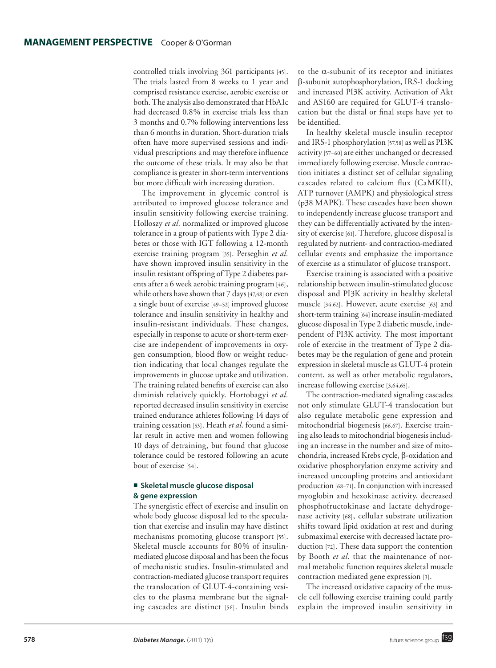controlled trials involving 361 participants [45]. The trials lasted from 8 weeks to 1 year and comprised resistance exercise, aerobic exercise or both. The analysis also demonstrated that HbA1c had decreased 0.8% in exercise trials less than 3 months and 0.7% following interventions less than 6 months in duration. Short-duration trials often have more supervised sessions and individual prescriptions and may therefore influence the outcome of these trials. It may also be that compliance is greater in short-term interventions but more difficult with increasing duration.

The improvement in glycemic control is attributed to improved glucose tolerance and insulin sensitivity following exercise training. Holloszy *et al.* normalized or improved glucose tolerance in a group of patients with Type 2 diabetes or those with IGT following a 12-month exercise training program [35]. Perseghin *et al.* have shown improved insulin sensitivity in the insulin resistant offspring of Type 2 diabetes parents after a 6 week aerobic training program [46], while others have shown that 7 days [47,48] or even a single bout of exercise [49–52] improved glucose tolerance and insulin sensitivity in healthy and insulin-resistant individuals. These changes, especially in response to acute or short-term exercise are independent of improvements in oxygen consumption, blood flow or weight reduction indicating that local changes regulate the improvements in glucose uptake and utilization. The training related benefits of exercise can also diminish relatively quickly. Hortobagyi *et al.* reported decreased insulin sensitivity in exercise trained endurance athletes following 14 days of training cessation [53]. Heath *et al.* found a similar result in active men and women following 10 days of detraining, but found that glucose tolerance could be restored following an acute bout of exercise [54].

#### **Skeletal muscle glucose disposal & gene expression**

The synergistic effect of exercise and insulin on whole body glucose disposal led to the speculation that exercise and insulin may have distinct mechanisms promoting glucose transport [55]. Skeletal muscle accounts for 80% of insulinmediated glucose disposal and has been the focus of mechanistic studies. Insulin-stimulated and contraction-mediated glucose transport requires the translocation of GLUT-4-containing vesicles to the plasma membrane but the signaling cascades are distinct [56]. Insulin binds to the  $\alpha$ -subunit of its receptor and initiates b-subunit autophosphorylation, IRS-1 docking and increased PI3K activity. Activation of Akt and AS160 are required for GLUT-4 translocation but the distal or final steps have yet to be identified.

In healthy skeletal muscle insulin receptor and IRS-1 phosphorylation [57,58] as well as PI3K activity [57–60] are either unchanged or decreased immediately following exercise. Muscle contraction initiates a distinct set of cellular signaling cascades related to calcium flux (CaMKII), ATP turnover (AMPK) and physiological stress (p38 MAPK). These cascades have been shown to independently increase glucose transport and they can be differentially activated by the intensity of exercise [61]. Therefore, glucose disposal is regulated by nutrient- and contraction-mediated cellular events and emphasize the importance of exercise as a stimulator of glucose transport.

Exercise training is associated with a positive relationship between insulin-stimulated glucose disposal and PI3K activity in healthy skeletal muscle [34,62]. However, acute exercise [63] and short-term training [64] increase insulin-mediated glucose disposal in Type 2 diabetic muscle, independent of PI3K activity. The most important role of exercise in the treatment of Type 2 diabetes may be the regulation of gene and protein expression in skeletal muscle as GLUT-4 protein content, as well as other metabolic regulators, increase following exercise [3,64,65].

The contraction-mediated signaling cascades not only stimulate GLUT-4 translocation but also regulate metabolic gene expression and mitochondrial biogenesis [66,67]. Exercise training also leads to mitochondrial biogenesis including an increase in the number and size of mitochondria, increased Krebs cycle,  $\beta$ -oxidation and oxidative phosphorylation enzyme activity and increased uncoupling proteins and antioxidant production [68–71]. In conjunction with increased myoglobin and hexokinase activity, decreased phosphofructokinase and lactate dehydrogenase activity [68], cellular substrate utilization shifts toward lipid oxidation at rest and during submaximal exercise with decreased lactate production [72]. These data support the contention by Booth *et al.* that the maintenance of normal metabolic function requires skeletal muscle contraction mediated gene expression [3].

The increased oxidative capacity of the muscle cell following exercise training could partly explain the improved insulin sensitivity in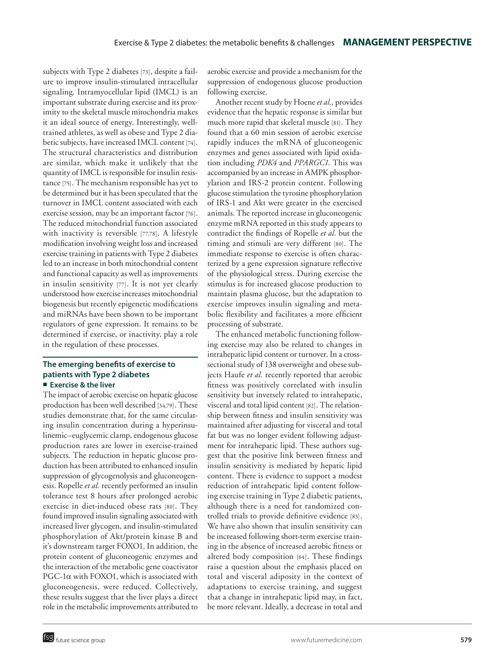subjects with Type 2 diabetes [73], despite a failure to improve insulin-stimulated intracellular signaling. Intramyocellular lipid (IMCL) is an important substrate during exercise and its proximity to the skeletal muscle mitochondria makes it an ideal source of energy. Interestingly, welltrained athletes, as well as obese and Type 2 diabetic subjects, have increased IMCL content [74]. The structural characteristics and distribution are similar, which make it unlikely that the quantity of IMCL is responsible for insulin resistance[75]. The mechanism responsible has yet to be determined but it has been speculated that the turnover in IMCL content associated with each exercise session, may be an important factor [76]. The reduced mitochondrial function associated with inactivity is reversible [77,78]. A lifestyle modification involving weight loss and increased exercise training in patients with Type 2 diabetes led to an increase in both mitochondrial content and functional capacity as well as improvements in insulin sensitivity [77]. It is not yet clearly understood how exercise increases mitochondrial biogenesis but recently epigenetic modifications and miRNAs have been shown to be important regulators of gene expression. It remains to be determined if exercise, or inactivity, play a role in the regulation of these processes.

## **The emerging benefits of exercise to patients with Type 2 diabetes Exercise & the liver**

The impact of aerobic exercise on hepatic glucose production has been well described [34,79]. These studies demonstrate that, for the same circulating insulin concentration during a hyperinsulinemic–euglycemic clamp, endogenous glucose production rates are lower in exercise-trained subjects. The reduction in hepatic glucose production has been attributed to enhanced insulin suppression of glycogenolysis and gluconeogenesis. Ropelle *et al.* recently performed an insulin tolerance test 8 hours after prolonged aerobic exercise in diet-induced obese rats [80]. They found improved insulin signaling associated with increased liver glycogen, and insulin-stimulated phosphorylation of Akt/protein kinase B and it's downstream target FOXO1. In addition, the protein content of gluconeogenic enzymes and the interaction of the metabolic gene coactivator  $PGC-1\alpha$  with FOXO1, which is associated with gluconeogenesis, were reduced. Collectively, these results suggest that the liver plays a direct role in the metabolic improvements attributed to

aerobic exercise and provide a mechanism for the suppression of endogenous glucose production following exercise.

Another recent study by Hoene *et al.,* provides evidence that the hepatic response is similar but much more rapid that skeletal muscle [81]. They found that a 60 min session of aerobic exercise rapidly induces the mRNA of gluconeogenic enzymes and genes associated with lipid oxidation including *PDK4* and *PPARGC1*. This was accompanied by an increase in AMPK phosphorylation and IRS-2 protein content. Following glucose stimulation the tyrosine phosphorylation of IRS-1 and Akt were greater in the exercised animals. The reported increase in gluconeogenic enzyme mRNA reported in this study appears to contradict the findings of Ropelle *et al.* but the timing and stimuli are very different [80]. The immediate response to exercise is often characterized by a gene expression signature reflective of the physiological stress. During exercise the stimulus is for increased glucose production to maintain plasma glucose, but the adaptation to exercise improves insulin signaling and metabolic flexibility and facilitates a more efficient processing of substrate.

The enhanced metabolic functioning following exercise may also be related to changes in intrahepatic lipid content or turnover. In a crosssectional study of 138 overweight and obese subjects Haufe *et al.* recently reported that aerobic fitness was positively correlated with insulin sensitivity but inversely related to intrahepatic, visceral and total lipid content [82]. The relationship between fitness and insulin sensitivity was maintained after adjusting for visceral and total fat but was no longer evident following adjustment for intrahepatic lipid. These authors suggest that the positive link between fitness and insulin sensitivity is mediated by hepatic lipid content. There is evidence to support a modest reduction of intrahepatic lipid content following exercise training in Type 2 diabetic patients, although there is a need for randomized controlled trials to provide definitive evidence [83]. We have also shown that insulin sensitivity can be increased following short-term exercise training in the absence of increased aerobic fitness or altered body composition [64]. These findings raise a question about the emphasis placed on total and visceral adiposity in the context of adaptations to exercise training, and suggest that a change in intrahepatic lipid may, in fact, be more relevant. Ideally, a decrease in total and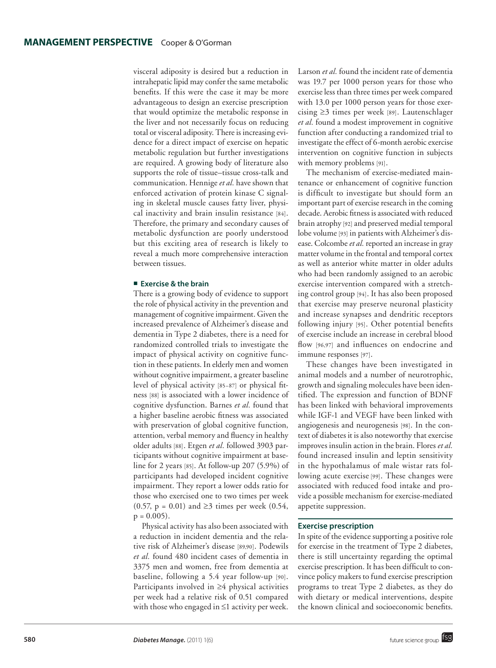visceral adiposity is desired but a reduction in intrahepatic lipid may confer the same metabolic benefits. If this were the case it may be more advantageous to design an exercise prescription that would optimize the metabolic response in the liver and not necessarily focus on reducing total or visceral adiposity. There is increasing evidence for a direct impact of exercise on hepatic metabolic regulation but further investigations are required. A growing body of literature also supports the role of tissue–tissue cross-talk and communication. Hennige *et al.* have shown that enforced activation of protein kinase C signaling in skeletal muscle causes fatty liver, physical inactivity and brain insulin resistance [84]. Therefore, the primary and secondary causes of metabolic dysfunction are poorly understood but this exciting area of research is likely to reveal a much more comprehensive interaction between tissues.

#### **Exercise & the brain**

There is a growing body of evidence to support the role of physical activity in the prevention and management of cognitive impairment. Given the increased prevalence of Alzheimer's disease and dementia in Type 2 diabetes, there is a need for randomized controlled trials to investigate the impact of physical activity on cognitive function in these patients. In elderly men and women without cognitive impairment, a greater baseline level of physical activity [85–87] or physical fitness [88] is associated with a lower incidence of cognitive dysfunction. Barnes *et al.* found that a higher baseline aerobic fitness was associated with preservation of global cognitive function, attention, verbal memory and fluency in healthy older adults [88]. Etgen *et al.* followed 3903 participants without cognitive impairment at baseline for 2 years [85]. At follow-up 207 (5.9%) of participants had developed incident cognitive impairment. They report a lower odds ratio for those who exercised one to two times per week (0.57,  $p = 0.01$ ) and ≥3 times per week (0.54,  $p = 0.005$ ).

Physical activity has also been associated with a reduction in incident dementia and the relative risk of Alzheimer's disease [89,90]. Podewils *et al.* found 480 incident cases of dementia in 3375 men and women, free from dementia at baseline, following a 5.4 year follow-up [90]. Participants involved in ≥4 physical activities per week had a relative risk of 0.51 compared with those who engaged in ≤1 activity per week. Larson *et al.* found the incident rate of dementia was 19.7 per 1000 person years for those who exercise less than three times per week compared with 13.0 per 1000 person years for those exercising ≥3 times per week [89]. Lautenschlager *et al.* found a modest improvement in cognitive function after conducting a randomized trial to investigate the effect of 6-month aerobic exercise intervention on cognitive function in subjects with memory problems [91].

The mechanism of exercise-mediated maintenance or enhancement of cognitive function is difficult to investigate but should form an important part of exercise research in the coming decade. Aerobic fitness is associated with reduced brain atrophy [92] and preserved medial temporal lobe volume [93] in patients with Alzheimer's disease. Colcombe *et al.* reported an increase in gray matter volume in the frontal and temporal cortex as well as anterior white matter in older adults who had been randomly assigned to an aerobic exercise intervention compared with a stretching control group [94]. It has also been proposed that exercise may preserve neuronal plasticity and increase synapses and dendritic receptors following injury [95]. Other potential benefits of exercise include an increase in cerebral blood flow [96,97] and influences on endocrine and immune responses [97].

These changes have been investigated in animal models and a number of neurotrophic, growth and signaling molecules have been identified. The expression and function of BDNF has been linked with behavioral improvements while IGF-1 and VEGF have been linked with angiogenesis and neurogenesis [98]. In the context of diabetes it is also noteworthy that exercise improves insulin action in the brain. Flores *et al.* found increased insulin and leptin sensitivity in the hypothalamus of male wistar rats following acute exercise [99]. These changes were associated with reduced food intake and provide a possible mechanism for exercise-mediated appetite suppression.

#### **Exercise prescription**

In spite of the evidence supporting a positive role for exercise in the treatment of Type 2 diabetes, there is still uncertainty regarding the optimal exercise prescription. It has been difficult to convince policy makers to fund exercise prescription programs to treat Type 2 diabetes, as they do with dietary or medical interventions, despite the known clinical and socioeconomic benefits.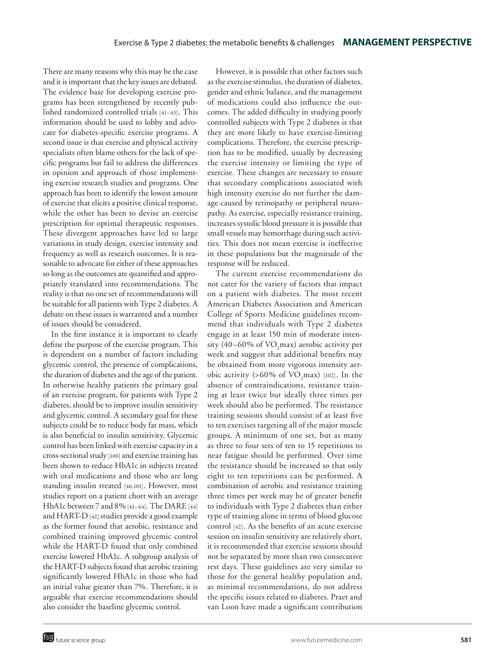There are many reasons why this may be the case and it is important that the key issues are debated. The evidence base for developing exercise programs has been strengthened by recently published randomized controlled trials [41–43]. This information should be used to lobby and advocate for diabetes-specific exercise programs. A second issue is that exercise and physical activity specialists often blame others for the lack of specific programs but fail to address the differences in opinion and approach of those implementing exercise research studies and programs. One approach has been to identify the lowest amount of exercise that elicits a positive clinical response, while the other has been to devise an exercise prescription for optimal therapeutic responses. These divergent approaches have led to large variations in study design, exercise intensity and frequency as well as research outcomes. It is reasonable to advocate for either of these approaches so long as the outcomes are quantified and appropriately translated into recommendations. The reality is that no one set of recommendations will be suitable for all patients with Type 2 diabetes. A debate on these issues is warranted and a number of issues should be considered.

In the first instance it is important to clearly define the purpose of the exercise program. This is dependent on a number of factors including glycemic control, the presence of complications, the duration of diabetes and the age of the patient. In otherwise healthy patients the primary goal of an exercise program, for patients with Type 2 diabetes, should be to improve insulin sensitivity and glycemic control. A secondary goal for these subjects could be to reduce body fat mass, which is also beneficial to insulin sensitivity. Glycemic control has been linked with exercise capacity in a cross-sectional study [100] and exercise training has been shown to reduce HbA1c in subjects treated with oral medications and those who are long standing insulin treated [46,101]. However, most studies report on a patient chort with an average HbA1c between 7 and 8% [41–44]. The DARE [44] and HART-D [42] studies provide a good example as the former found that aerobic, resistance and combined training improved glycemic control while the HART-D found that only combined exercise lowered HbA1c. A subgroup analysis of the HART-D subjects found that aerobic training significantly lowered HbA1c in those who had an initial value greater than 7%. Therefore, it is arguable that exercise recommendations should also consider the baseline glycemic control.

However, it is possible that other factors such as the exercise stimulus, the duration of diabetes, gender and ethnic balance, and the management of medications could also influence the outcomes. The added difficulty in studying poorly controlled subjects with Type 2 diabetes is that they are more likely to have exercise-limiting complications. Therefore, the exercise prescription has to be modified, usually by decreasing the exercise intensity or limiting the type of exercise. These changes are necessary to ensure that secondary complications associated with high intensity exercise do not further the damage caused by retinopathy or peripheral neuropathy. As exercise, especially resistance training, increases systolic blood pressure it is possible that small vessels may hemorrhage during such activities. This does not mean exercise is ineffective in these populations but the magnitude of the response will be reduced.

The current exercise recommendations do not cater for the variety of factors that impact on a patient with diabetes. The most recent American Diabetes Association and American College of Sports Medicine guidelines recommend that individuals with Type 2 diabetes engage in at least 150 min of moderate intensity (40–60% of  $\rm VO_{2}$ max) aerobic activity per week and suggest that additional benefits may be obtained from more vigorous intensity aerobic activity (>60% of  $VO<sub>2</sub>$ max) [102]. In the absence of contraindications, resistance training at least twice but ideally three times per week should also be performed. The resistance training sessions should consist of at least five to ten exercises targeting all of the major muscle groups. A minimum of one set, but as many as three to four sets of ten to 15 repetitions to near fatigue should be performed. Over time the resistance should be increased so that only eight to ten repetitions can be performed. A combination of aerobic and resistance training three times per week may be of greater benefit to individuals with Type 2 diabetes than either type of training alone in terms of blood glucose control [42]. As the benefits of an acute exercise session on insulin sensitivity are relatively short, it is recommended that exercise sessions should not be separated by more than two consecutive rest days. These guidelines are very similar to those for the general healthy population and, as minimal recommendations, do not address the specific issues related to diabetes. Praet and van Loon have made a significant contribution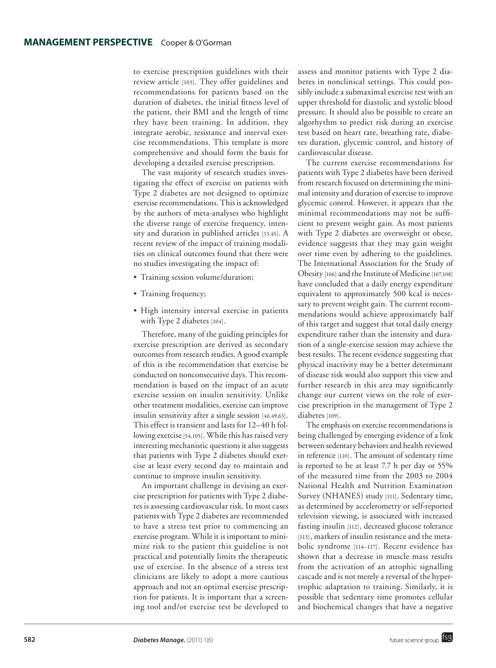to exercise prescription guidelines with their review article [103]. They offer guidelines and recommendations for patients based on the duration of diabetes, the initial fitness level of the patient, their BMI and the length of time they have been training. In addition, they integrate aerobic, resistance and interval exercise recommendations. This template is more comprehensive and should form the basis for developing a detailed exercise prescription.

The vast majority of research studies investigating the effect of exercise on patients with Type 2 diabetes are not designed to optimize exercise recommendations. This is acknowledged by the authors of meta-analyses who highlight the diverse range of exercise frequency, intensity and duration in published articles [33,45]. A recent review of the impact of training modalities on clinical outcomes found that there were no studies investigating the impact of:

- Training session volume/duration;
- Training frequency;
- High intensity interval exercise in patients with Type 2 diabetes [104].

Therefore, many of the guiding principles for exercise prescription are derived as secondary outcomes from research studies. A good example of this is the recommendation that exercise be conducted on nonconsecutive days. This recommendation is based on the impact of an acute exercise session on insulin sensitivity. Unlike other treatment modalities, exercise can improve insulin sensitivity after a single session [46,49,63]. This effect is transient and lasts for 12–40 h following exercise [54,105]. While this has raised very interesting mechanistic questions it also suggests that patients with Type 2 diabetes should exercise at least every second day to maintain and continue to improve insulin sensitivity.

An important challenge in devising an exercise prescription for patients with Type 2 diabetes is assessing cardiovascular risk. In most cases patients with Type 2 diabetes are recommended to have a stress test prior to commencing an exercise program. While it is important to minimize risk to the patient this guideline is not practical and potentially limits the therapeutic use of exercise. In the absence of a stress test clinicians are likely to adopt a more cautious approach and not an optimal exercise prescription for patients. It is important that a screening tool and/or exercise test be developed to

assess and monitor patients with Type 2 diabetes in nonclinical settings. This could possibly include a submaximal exercise test with an upper threshold for diastolic and systolic blood pressure. It should also be possible to create an algorhythm to predict risk during an exercise test based on heart rate, breathing rate, diabetes duration, glycemic control, and history of cardiovascular disease.

The current exercise recommendations for patients with Type 2 diabetes have been derived from research focused on determining the minimal intensity and duration of exercise to improve glycemic control. However, it appears that the minimal recommendations may not be sufficient to prevent weight gain. As most patients with Type 2 diabetes are overweight or obese, evidence suggests that they may gain weight over time even by adhering to the guidelines. The International Association for the Study of Obesity [106] and the Institute of Medicine [107,108] have concluded that a daily energy expenditure equivalent to approximately 500 kcal is necessary to prevent weight gain. The current recommendations would achieve approximately half of this target and suggest that total daily energy expenditure rather than the intensity and duration of a single-exercise session may achieve the best results. The recent evidence suggesting that physical inactivity may be a better determinant of disease risk would also support this view and further research in this area may significantly change our current views on the role of exercise prescription in the management of Type 2 diabetes [109].

The emphasis on exercise recommendations is being challenged by emerging evidence of a link between sedentary behaviors and health reviewed in reference [110]. The amount of sedentary time is reported to be at least 7.7 h per day or 55% of the measured time from the 2003 to 2004 National Health and Nutrition Examination Survey (NHANES) study [111]. Sedentary time, as determined by accelerometry or self-reported television viewing, is associated with increased fasting insulin [112], decreased glucose tolerance [113], markers of insulin resistance and the metabolic syndrome [114–117]. Recent evidence has shown that a decrease in muscle mass results from the activation of an atrophic signalling cascade and is not merely a reversal of the hypertrophic adaptation to training. Similarly, it is possible that sedentary time promotes cellular and biochemical changes that have a negative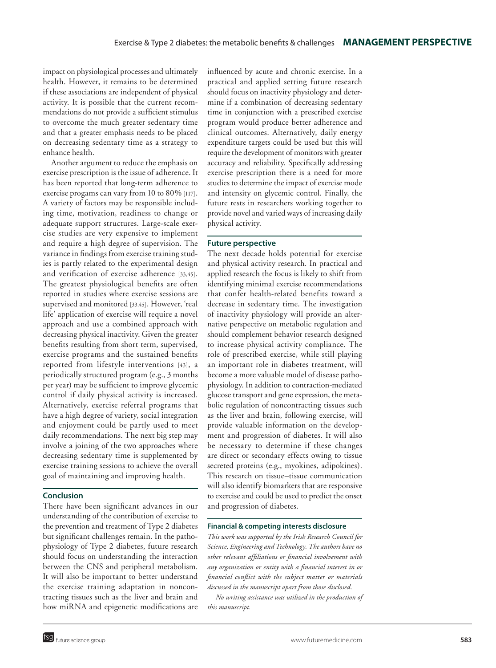impact on physiological processes and ultimately health. However, it remains to be determined if these associations are independent of physical activity. It is possible that the current recommendations do not provide a sufficient stimulus to overcome the much greater sedentary time and that a greater emphasis needs to be placed on decreasing sedentary time as a strategy to enhance health.

Another argument to reduce the emphasis on exercise prescription is the issue of adherence. It has been reported that long-term adherence to exercise progams can vary from 10 to 80% [117]. A variety of factors may be responsible including time, motivation, readiness to change or adequate support structures. Large-scale exercise studies are very expensive to implement and require a high degree of supervision. The variance in findings from exercise training studies is partly related to the experimental design and verification of exercise adherence [33,45]. The greatest physiological benefits are often reported in studies where exercise sessions are supervised and monitored [33,45]. However, 'real life' application of exercise will require a novel approach and use a combined approach with decreasing physical inactivity. Given the greater benefits resulting from short term, supervised, exercise programs and the sustained benefits reported from lifestyle interventions [43], a periodically structured program (e.g., 3 months per year) may be sufficient to improve glycemic control if daily physical activity is increased. Alternatively, exercise referral programs that have a high degree of variety, social integration and enjoyment could be partly used to meet daily recommendations. The next big step may involve a joining of the two approaches where decreasing sedentary time is supplemented by exercise training sessions to achieve the overall goal of maintaining and improving health.

#### **Conclusion**

There have been significant advances in our understanding of the contribution of exercise to the prevention and treatment of Type 2 diabetes but significant challenges remain. In the pathophysiology of Type 2 diabetes, future research should focus on understanding the interaction between the CNS and peripheral metabolism. It will also be important to better understand the exercise training adaptation in noncontracting tissues such as the liver and brain and how miRNA and epigenetic modifications are influenced by acute and chronic exercise. In a practical and applied setting future research should focus on inactivity physiology and determine if a combination of decreasing sedentary time in conjunction with a prescribed exercise program would produce better adherence and clinical outcomes. Alternatively, daily energy expenditure targets could be used but this will require the development of monitors with greater accuracy and reliability. Specifically addressing exercise prescription there is a need for more studies to determine the impact of exercise mode and intensity on glycemic control. Finally, the future rests in researchers working together to provide novel and varied ways of increasing daily physical activity.

#### **Future perspective**

The next decade holds potential for exercise and physical activity research. In practical and applied research the focus is likely to shift from identifying minimal exercise recommendations that confer health-related benefits toward a decrease in sedentary time. The investigation of inactivity physiology will provide an alternative perspective on metabolic regulation and should complement behavior research designed to increase physical activity compliance. The role of prescribed exercise, while still playing an important role in diabetes treatment, will become a more valuable model of disease pathophysiology. In addition to contraction-mediated glucose transport and gene expression, the metabolic regulation of noncontracting tissues such as the liver and brain, following exercise, will provide valuable information on the development and progression of diabetes. It will also be necessary to determine if these changes are direct or secondary effects owing to tissue secreted proteins (e.g., myokines, adipokines). This research on tissue–tissue communication will also identify biomarkers that are responsive to exercise and could be used to predict the onset and progression of diabetes.

#### **Financial & competing interests disclosure**

*This work was supported by the Irish Research Council for Science, Engineering and Technology. The authors have no other relevant affiliations or financial involvement with any organization or entity with a financial interest in or financial conflict with the subject matter or materials discussed in the manuscript apart from those disclosed.*

*No writing assistance was utilized in the production of this manuscript.*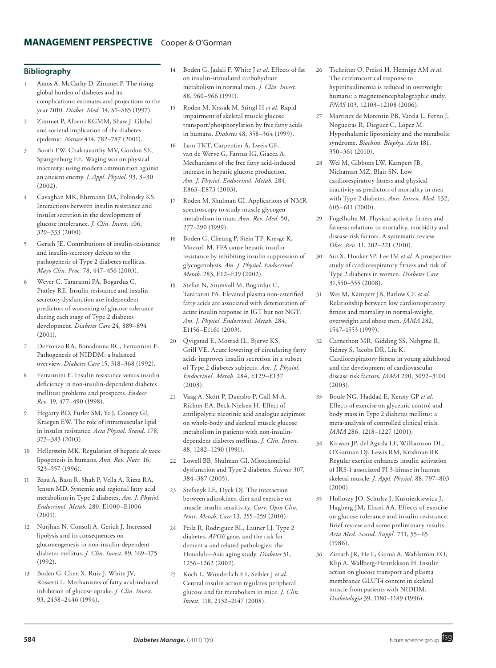#### **Bibliography**

- 1 Amos A, McCathy D, Zimmet P. The rising global burden of diabetes and its complications: estimates and projections to the year 2010. *Diabet. Med.* 14, S1–S85 (1997).
- 2 Zimmet P, Alberti KGMM, Shaw J. Global and societal implication of the diabetes epidemic. *Nature* 414, 782–787 (2001).
- 3 Booth FW, Chakravarthy MV, Gordon SE, Spangenburg EE. Waging war on physical inactivity: using modern ammunition against an ancient enemy. *J. Appl. Physiol.* 93, 3–30 (2002).
- 4 Cavaghan MK, Ehrmann DA, Polonsky KS. Interactions between insulin resistance and insulin secretion in the development of glucose intolerance. *J. Clin. Invest.* 106, 329–333 (2000).
- 5 Gerich JE. Contributions of insulin-resistance and insulin-secretory defects to the pathogenesis of Type 2 diabetes mellitus. *Mayo Clin. Proc.* 78, 447–456 (2003).
- 6 Weyer C, Tataranni PA, Bogardus C, Pratley RE. Insulin resistance and insulin secretory dysfunction are independent predictors of worsening of glucose tolerance during each stage of Type 2 diabetes development. *Diabetes Care* 24, 889–894 (2001).
- 7 DeFronzo RA, Bonadonna RC, Ferrannini E. Pathogenesis of NIDDM: a balanced overview. *Diabetes Care* 15, 318–368 (1992).
- 8 Ferrannini E. Insulin resistance versus insulin deficiency in non-insulin-dependent diabetes mellitus: problems and prospects. *Endocr. Rev.* 19, 477–490 (1998).
- 9 Hegarty BD, Furler SM, Ye J, Cooney GJ, Kraegen EW. The role of intramuscular lipid in insulin resistance. *Acta Physiol. Scand.* 178, 373–383 (2003).
- 10 Hellerstein MK. Regulation of hepatic *de novo* lipogenesis in humans. *Ann. Rev. Nutr.* 16, 523–557 (1996).
- 11 Basu A, Basu R, Shah P, Vella A, Rizza RA, Jensen MD. Systemic and regional fatty acid metabolism in Type 2 diabetes. *Am. J. Physiol. Endocrinol. Metab.* 280, E1000–E1006  $(2001)$
- 12 Nurjhan N, Consoli A, Gerich J. Increased lipolysis and its consequences on gluconeogenesis in non-insulin-dependent diabetes mellitus. *J. Clin. Invest.* 89, 169–175  $(1992)$
- 13 Boden G, Chen X, Ruiz J, White JV, Rossetti L. Mechanisms of fatty acid-induced inhibition of glucose uptake. *J. Clin. Invest.* 93, 2438–2446 (1994).
- 14 Boden G, Jadali F, White J *et al.* Effects of fat on insulin-stimulated carbohydrate metabolism in normal men. *J. Clin. Invest.* 88, 960–966 (1991).
- 15 Roden M, Krssak M, Stingl H *et al.* Rapid impairment of skeletal muscle glucose transport/phosphorylation by free fatty acids in humans. *Diabetes* 48, 358–364 (1999).
- 16 Lam TKT, Carpentier A, Lweis GF, van de Werve G, Fantus IG, Giacca A. Mechanisms of the free fatty acid-induced increase in hepatic glucose production. *Am. J. Physiol. Endocrinol. Metab.* 284, E863–E873 (2003).
- 17 Roden M, Shulman GI. Applications of NMR spectroscopy to study muscle glycogen metabolism in man. *Ann. Rev. Med.* 50, 277–290 (1999).
- 18 Boden G, Cheung P, Stein TP, Kresge K, Mozzoli M. FFA cause hepatic insulin resistance by inhibiting insulin suppression of glycogenolysis. *Am. J. Physiol. Endocrinol. Metab.* 283, E12–E19 (2002).
- 19 Stefan N, Stumvoll M, Bogardus C, Tataranni PA. Elevated plasma non-esterified fatty acids are associated with deterioration of acute insulin response in IGT but not NGT. *Am. J. Physiol. Endocrinol. Metab.* 284, E1156–E1161 (2003).
- 20 Qvigstad E, Mostad IL, Bjerve KS, Grill VE. Acute lowering of circulating fatty acids improves insulin secretion in a subset of Type 2 diabetes subjects. *Am. J. Physiol. Endocrinol. Metab.* 284, E129–E137 (2003).
- 21 Vaag A, Skött P, Damsbo P, Gall M-A, Richter EA, Beck-Nielsen H. Effect of antilipolytic nicotinic acid analogue acipimox on whole-body and skeletal muscle glucose metabolism in patients with non-insulindependent diabetes mellitus. *J. Clin. Invest.* 88, 1282–1290 (1991).
- 22 Lowell BB, Shulman GI. Mitochondrial dysfunction and Type 2 diabetes. *Science* 307, 384–387 (2005).
- 23 Stefanyk LE, Dyck DJ. The interaction between adipokines, diet and exercise on muscle insulin sensitivity. *Curr. Opin Clin. Nutr. Metab. Care* 13, 255–259 (2010).
- 24 Peila R, Rodriguez BL, Launer LJ. Type 2 diabetes, *APOE* gene, and the risk for dementia and related pathologies: the Honolulu–Asia aging study. *Diabetes* 51, 1256–1262 (2002).
- 25 Koch L, Wunderlich FT, Seibler J *et al*. Central insulin action regulates peripheral glucose and fat metabolism in mice. *J. Clin. Invest.* 118, 2132–2147 (2008).
- 26 Tschritter O, Preissi H, Hennige AM *et al.* The cerebrocortical response to hyperinsulinemia is reduced in overweight humans: a magnetoencephalographic study. *PNAS* 103, 12103–12108 (2006).
- 27 Martinez de Morentin PB, Varela L, Ferno J, Nogueiras R, Dieguez C, Lopez M. Hypothalamic lipotoxicity and the metabolic syndrome. *Biochim. Biophys. Acta* 181, 350–361 (2010).
- 28 Wei M, Gibbons LW, Kampert JB, Nichaman MZ, Blair SN. Low cardiorespiratory fitness and physical inactivity as predictors of mortality in men with Type 2 diabetes. *Ann. Intern. Med.* 132, 605–611 (2000).
- 29 Fogelholm M. Physical activity, fitness and fatness: relations to mortality, morbidity and disease risk factors. A systematic review. *Obes. Rev.* 11, 202–221 (2010).
- 30 Sui X, Hooker SP, Lee IM *et al.* A prospective study of cardiorespiratory fitness and risk of Type 2 diabetes in women. *Diabetes Care* 31,550–555 (2008).
- 31 Wei M, Kampert JB, Barlow CE *et al.* Relationship between low cardiorespiratory fitness and mortality in normal-weight, overweight and obese men. *JAMA* 282, 1547–1553 (1999).
- 32 Carnethon MR, Gidding SS, Nehgme R, Sidney S, Jacobs DR, Liu K. Cardiorespiratory fitness in young adulthood and the development of cardiovascular disease risk factors. *JAMA* 290, 3092–3100 (2003).
- 33 Boule NG, Haddad E, Kenny GP *et al.* Effects of exercise on glycemic control and body mass in Type 2 diabetes mellitus: a meta-analysis of controlled clinical trials. *JAMA* 286, 1218–1227 (2001).
- 34 Kirwan JP, del Aguila LF, Williamson DL, O'Gorman DJ, Lewis RM, Krishnan RK. Regular exercise enhances insulin activation of IRS-1 associated PI 3-kinase in human skeletal muscle. *J. Appl. Physiol.* 88, 797–803 (2000).
- 35 Holloszy JO, Schultz J, Kusnierkiewicz J, Hagberg JM, Ehani AA. Effects of exercise on glucose tolerance and insulin resistance. Brief review and some preliminary results. *Acta Med. Scand. Suppl.* 711, 55–65 (1986).
- 36 Zierath JR, He L, Gumà A, Wahlström EO, Klip A, Wallberg-Henrikkson H. Insulin action on glucose transport and plasma membrance GLUT4 content in skeletal muscle from patients with NIDDM. *Diabetologia* 39, 1180–1189 (1996).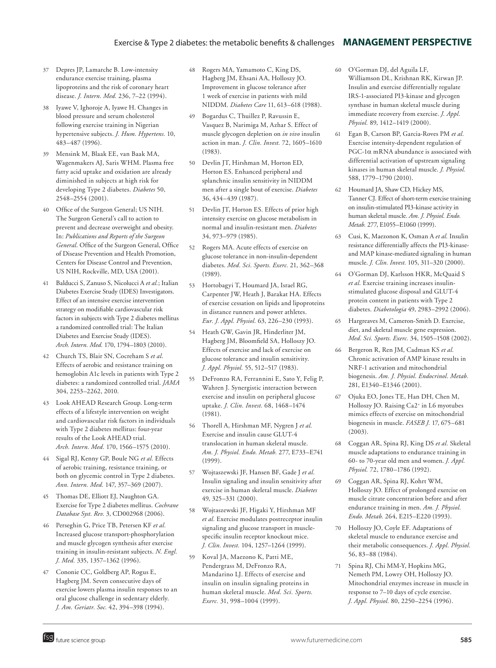## Exercise & Type 2 diabetes: the metabolic benefits & challenges **MANAGEMENT PERSPECTIVE**

- 37 Depres JP, Lamarche B. Low-intensity endurance exercise training, plasma lipoproteins and the risk of coronary heart disease. *J. Intern. Med.* 236, 7–22 (1994).
- 38 Iyawe V, Ighoroje A, Iyawe H. Changes in blood pressure and serum cholesterol following exercise training in Nigerian hypertensive subjects. *J. Hum. Hypertens.* 10, 483–487 (1996).
- 39 Mensink M, Blaak EE, van Baak MA, Wagenmakers AJ, Saris WHM. Plasma free fatty acid uptake and oxidation are already diminished in subjects at high risk for developing Type 2 diabetes. *Diabetes* 50, 2548–2554 (2001).
- 40 Office of the Surgeon General; US NIH. The Surgeon General's call to action to prevent and decrease overweight and obesity. In: *Publications and Reports of the Surgeon General*. Office of the Surgeon General, Office of Disease Prevention and Health Promotion, Centers for Disease Control and Prevention, US NIH, Rockville, MD, USA (2001).
- 41 Balducci S, Zanuso S, Nicolucci A *et al.*; Italian Diabetes Exercise Study (IDES) Investigators. Effect of an intensive exercise intervention strategy on modifiable cardiovascular risk factors in subjects with Type 2 diabetes mellitus a randomized controlled trial: The Italian Diabetes and Exercise Study (IDES). *Arch. Intern. Med.* 170, 1794–1803 (2010).
- 42 Church TS, Blair SN, Cocreham S *et al*. Effects of aerobic and resistance training on hemoglobin A1c levels in patients with Type 2 diabetes: a randomized controlled trial. *JAMA* 304, 2253–2262, 2010.
- 43 Look AHEAD Research Group. Long-term effects of a lifestyle intervention on weight and cardiovascular risk factors in individuals with Type 2 diabetes mellitus: four-year results of the Look AHEAD trial. *Arch. Intern. Med.* 170, 1566–1575 (2010).
- 44 Sigal RJ, Kenny GP, Boule NG *et al.* Effects of aerobic training, resistance training, or both on glycemic control in Type 2 diabetes. *Ann. Intern. Med.* 147, 357–369 (2007).
- 45 Thomas DE, Elliott EJ, Naughton GA. Exercise for Type 2 diabetes mellitus. *Cochrane Database Syst. Rev.* 3, CD002968 (2006).
- 46 Perseghin G, Price TB, Petersen KF *et al.* Increased glucose transport-phosphorylation and muscle glycogen synthesis after exercise training in insulin-resistant subjects. *N. Engl. J. Med.* 335, 1357–1362 (1996).
- 47 Cononie CC, Goldberg AP, Rogus E, Hagberg JM. Seven consecutive days of exercise lowers plasma insulin responses to an oral glucose challenge in sedentary elderly. *J. Am. Geriatr. Soc.* 42, 394–398 (1994).
- 48 Rogers MA, Yamamoto C, King DS, Hagberg JM, Ehsani AA, Holloszy JO. Improvement in glucose tolerance after 1 week of exercise in patients with mild NIDDM. *Diabetes Care* 11, 613–618 (1988).
- 49 Bogardus C, Thuillez P, Ravussin E, Vasquez B, Narimiga M, Azhar S. Effect of muscle glycogen depletion on *in vivo* insulin action in man. *J. Clin. Invest.* 72, 1605–1610 (1983).
- 50 Devlin JT, Hirshman M, Horton ED, Horton ES. Enhanced peripheral and splanchnic insulin sensitivity in NIDDM men after a single bout of exercise. *Diabetes*  36, 434–439 (1987).
- 51 Devlin JT, Horton ES. Effects of prior high intensity exercise on glucose metabolism in normal and insulin-resistant men. *Diabetes* 34, 973–979 (1985).
- 52 Rogers MA. Acute effects of exercise on glucose tolerance in non-insulin-dependent diabetes. *Med. Sci. Sports. Exerc.* 21, 362–368 (1989).
- 53 Hortobagyi T, Houmard JA, Israel RG, Carpenter JW, Heath J, Barakat HA. Effects of exercise cessation on lipids and lipoproteins in distance runners and power athletes. *Eur. J. Appl. Physiol.* 63, 226–230 (1993).
- 54 Heath GW, Gavin JR, Hinderliter JM, Hagberg JM, Bloomfield SA, Holloszy JO. Effects of exercise and lack of exercise on glucose tolerance and insulin sensitivity. *J. Appl. Physiol.* 55, 512–517 (1983).
- 55 DeFronzo RA, Ferrannini E, Sato Y, Felig P, Wahren J. Synergistic interaction between exercise and insulin on peripheral glucose uptake. *J. Clin. Invest.* 68, 1468–1474 (1981).
- 56 Thorell A, Hirshman MF, Nygren J *et al.* Exercise and insulin cause GLUT-4 translocation in human skeletal muscle. *Am. J. Physiol. Endo. Metab.* 277, E733–E741 (1999).
- 57 Wojtaszewski JF, Hansen BF, Gade J *et al.* Insulin signaling and insulin sensitivity after exercise in human skeletal muscle. *Diabetes* 49, 325–331 (2000).
- 58 Wojtaszewski JF, Higaki Y, Hirshman MF *et al.* Exercise modulates postreceptor insulin signaling and glucose transport in musclespecific insulin receptor knockout mice. *J. Clin. Invest.* 104, 1257–1264 (1999).
- 59 Koval JA, Maezono K, Patti ME, Pendergrass M, DeFronzo RA, Mandarino LJ. Effects of exercise and insulin on insulin signaling proteins in human skeletal muscle. *Med. Sci. Sports. Exerc.* 31, 998–1004 (1999).
- 60 O'Gorman DJ, del Aguila LF, Williamson DL, Krishnan RK, Kirwan JP. Insulin and exercise differentially regulate IRS-1-associated PI3-kinase and glycogen synthase in human skeletal muscle during immediate recovery from exercise. *J. Appl. Physiol.* 89, 1412–1419 (2000).
- 61 Egan B, Carson BP, Garcia-Roves PM *et al.* Exercise intensity-dependent regulation of  $PGC-1\alpha$  mRNA abundance is associated with differential activation of upstream signaling kinases in human skeletal muscle. *J. Physiol.* 588, 1779–1790 (2010).
- 62 Houmard JA, Shaw CD, Hickey MS, Tanner CJ. Effect of short-term exercise training on insulin-stimulated PI3-kinase activity in human skeletal muscle. *Am. J. Physiol. Endo. Metab.* 277, E1055–E1060 (1999).
- 63 Cusi, K, Maezonon K, Osman A *et al.* Insulin resistance differentially affects the PI3-kinaseand MAP kinase-mediated signaling in human muscle. *J. Clin. Invest.* 105, 311–320 (2000).
- 64 O'Gorman DJ, Karlsson HKR, McQuaid S *et al.* Exercise training increases insulinstimulated glucose disposal and GLUT-4 protein content in patients with Type 2 diabetes. *Diabetologia* 49, 2983–2992 (2006).
- 65 Hargreaves M, Cameron-Smith D. Exercise, diet, and skeletal muscle gene expression. *Med. Sci. Sports. Exerc.* 34, 1505–1508 (2002).
- 66 Bergeron R, Ren JM, Cadman KS *et al.* Chronic activation of AMP kinase results in NRF-1 activation and mitochondrial biogenesis. *Am. J. Physiol. Endocrinol. Metab.* 281, E1340–E1346 (2001).
- 67 Ojuka EO, Jones TE, Han DH, Chen M, Holloszy JO. Raising Ca2+ in L6 myotubes mimics effects of exercise on mitochondrial biogenesis in muscle. *FASEB J.* 17, 675–681 (2003).
- 68 Coggan AR, Spina RJ, King DS *et al.* Skeletal muscle adaptations to endurance training in 60- to 70-year old men and women. *J. Appl. Physiol.* 72, 1780–1786 (1992).
- 69 Coggan AR, Spina RJ, Kohrt WM, Holloszy JO. Effect of prolonged exercise on muscle citrate concentration before and after endurance training in men. *Am. J. Physiol. Endo. Metab.* 264, E215–E220 (1993).
- Holloszy JO, Coyle EF. Adaptations of skeletal muscle to endurance exercise and their metabolic consequences. *J. Appl. Physiol.* 56, 83–88 (1984).
- Spina RJ, Chi MM-Y, Hopkins MG, Nemeth PM, Lowry OH, Holloszy JO. Mitochondrial enzymes increase in muscle in response to 7–10 days of cycle exercise. *J. Appl. Physiol.* 80, 2250–2254 (1996).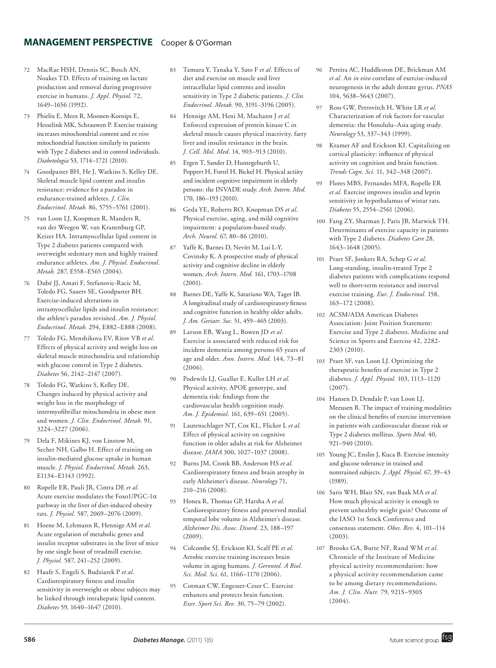# **management perspective** Cooper & O'Gorman

- 72 MacRae HSH, Dennis SC, Bosch AN, Noakes TD. Effects of training on lactate production and removal during progressive exercise in humans. *J. Appl. Physiol.* 72, 1649–1656 (1992).
- 73 Phielix E, Meex R, Moonen-Kornips E, Hesselink MK, Schrauwen P. Exercise training increases mitochondrial content and *ex vivo* mitochondrial function similarly in patients with Type 2 diabetes and in control individuals. *Diabetologia* 53, 1714–1721 (2010).
- 74 Goodpaster BH, He J, Watkins S, Kelley DE. Skeletal muscle lipid content and insulin resistance: evidence for a paradox in endurance-trained athletes. *J. Clin. Endocrinol. Metab.* 86, 5755–5761 (2001).
- 75 van Loon LJ, Koopman R, Manders R, van der Weegen W, van Kranenburg GP, Keizer HA. Intramyocellular lipid content in Type 2 diabetes patients compared with overweight sedentary men and highly trained endurance athletes. *Am. J. Physiol. Endocrinol. Metab.* 287, E558–E565 (2004).
- 76 Dubé JJ, Amati F, Stefanovic-Racic M, Toledo FG, Sauers SE, Goodpaster BH. Exercise-induced alterations in intramyocellular lipids and insulin resistance: the athlete's paradox revisited. *Am. J. Physiol. Endocrinol. Metab.* 294, E882–E888 (2008).
- 77 Toledo FG, Menshikova EV, Ritov VB *et al*. Effects of physical activity and weight loss on skeletal muscle mitochondria and relationship with glucose control in Type 2 diabetes. *Diabetes* 56, 2142–2147 (2007).
- Toledo FG, Watkins S, Kelley DE. Changes induced by physical activity and weight loss in the morphology of intermyofibrillar mitochondria in obese men and women. *J. Clin. Endocrinol. Metab.* 91, 3224–3227 (2006).
- Dela F, Mikines KJ, von Linstow M, Secher NH, Galbo H. Effect of training on insulin-mediated glucose uptake in human muscle. *J. Physiol. Endocrinol. Metab.* 263, E1134–E1143 (1992).
- 80 Ropelle ER, Pauli JR, Cintra DE *et al.*  Acute exercise modulates the Foxo1/PGC-1a pathway in the liver of diet-induced obesity rats. *J. Physiol.* 587, 2069–2076 (2009).
- 81 Hoene M, Lehmann R, Hennige AM *et al.* Acute regulation of metabolic genes and insulin receptor substrates in the liver of mice by one single bout of treadmill exercise. *J. Physiol.* 587, 241–252 (2009).
- 82 Haufe S, Engeli S, Budziarek P *et al.* Cardiorespiratory fitness and insulin sensitivity in overweight or obese subjects may be linked through intrahepatic lipid content. *Diabetes* 59, 1640–1647 (2010).
- 83 Tamura Y, Tanaka Y, Sato F *et al.* Effects of diet and exercise on muscle and liver intracellular lipid contents and insulin sensitivity in Type 2 diabetic patients. *J. Clin. Endocrinol. Metab.* 90, 3191–3196 (2005).
- 84 Hennige AM, Heni M, Machann J *et al.* Enforced expression of protein kinase C in skeletal muscle causes physical inactivity, fatty liver and insulin resistance in the brain. *J. Cell. Mol. Med.* 14, 903–913 (2010).
- 85 Etgen T, Sander D, Huntegeburth U, Poppert H, Forstl H, Bickel H. Physical actiity and incident cognitive impairment in elderly persons: the INVADE study. *Arch. Intern. Med.* 170, 186–193 (2010).
- 86 Geda YE, Roberts RO, Knopman DS *et al.* Physical exercise, aging, and mild cognitive impairment: a population-based study. *Arch. Neurol.* 67, 80–86 (2010).
- 87 Yaffe K, Barnes D, Nevitt M, Lui L-Y, Covinsky K. A prospective study of physical activity and cognitive decline in elderly women. *Arch. Intern. Med.* 161, 1703–1708 (2001).
- 88 Barnes DE, Yaffe K, Satariano WA, Tager IB. A longitudinal study of cardiorespiratory fitness and cognitive function in healthy older adults. *J. Am. Geriatr. Soc.* 51, 459–465 (2003).
- 89 Larson EB, Wang L, Bowen JD *et al.* Exercise is associated with reduced risk for incident dementia among persons 65 years of age and older. *Ann. Intern. Med.* 144, 73–81  $(2006)$
- 90 Podewils LJ, Guallar E, Kuller LH *et al.* Physical activity, APOE genotype, and dementia risk: findings from the cardiovascular health cognition study. *Am. J. Epidemiol.* 161, 639–651 (2005).
- 91 Lautenschlager NT, Cox KL, Flicker L *et al.* Effect of physical activity on cognitive function in older adults at risk for Alzheimer disease. *JAMA* 300, 1027–1037 (2008).
- 92 Burns JM, Cronk BB, Anderson HS *et al.* Cardiorespiratory fitness and brain atrophy in early Alzheimer's disease. *Neurology* 71, 210–216 (2008).
- 93 Honea R, Thomas GP, Harsha A *et al.* Cardiorespiratory fitness and preserved medial temporal lobe volume in Alzheimer's disease. *Alzheimer Dis. Assoc. Disord.* 23, 188–197 (2009).
- 94 Colcombe SJ, Erickson KI, Scalf PE *et al.* Aerobic exercise training increases brain volume in aging humans. *J. Gerontol. A Biol. Sci. Med. Sci.* 61, 1166–1170 (2006).
- 95 Cotman CW, Engesser-Ceser C. Exercise enhances and protects brain function. *Exer. Sport Sci. Rev.* 30, 75–79 (2002).
- 96 Pereira AC, Huddleston DE, Brickman AM *et al.* An *in vivo* correlate of exercise-induced neurogenesis in the adult dentate gyrus. *PNAS* 104, 5638–5643 (2007).
- 97 Ross GW, Petrovitch H, White LR *et al.* Characterization of risk factors for vascular dementia: the Honolulu–Asia aging study. *Neurology* 53, 337–343 (1999).
- 98 Kramer AF and Erickson KI. Capitalizing on cortical plasticity: influence of physical activity on cognition and brain function. *Trends Cogn. Sci.* 11, 342–348 (2007).
- 99 Flores MBS, Fernandes MFA, Ropelle ER *et al.* Exercise improves insulin and leptin sensitivity in hypothalamus of wistar rats. *Diabetes* 55, 2554–2561 (2006).
- 100 Fang ZY, Sharman J, Paris JB, Marwick TH. Determinants of exercise capacity in patients with Type 2 diabetes. *Diabetes Care* 28, 1643–1648 (2005).
- 101 Praet SF, Jonkers RA, Schep G *et al.* Long-standing, insulin-treated Type 2 diabetes patients with complications respond well to short-term resistance and interval exercise training. *Eur. J. Endocrinol.* 158, 163–172 (2008).
- 102 ACSM/ADA American Diabetes Association: Joint Position Statement: Exercise and Type 2 diabetes. Medicine and Science in Sports and Exercise 42, 2282- 2303 (2010).
- 103 Praet SF, van Loon LJ. Optimizing the therapeutic benefits of exercise in Type 2 diabetes. *J. Appl. Physiol.* 103, 1113–1120 (2007).
- 104 Hansen D, Dendale P, van Loon LJ, Meeusen R. The impact of training modalities on the clinical benefits of exercise intervention in patients with cardiovascular disease risk or Type 2 diabetes mellitus. *Sports Med.* 40, 921–940 (2010).
- 105 Young JC, Enslin J, Kuca B. Exercise intensity and glucose tolerance in trained and nontrained subjects. *J. Appl. Physiol.* 67, 39–43 (1989).
- 106 Saris WH, Blair SN, van Baak MA *et al.* How much physical activity is enough to prevent unhealthy weight gain? Outcome of the IASO 1st Stock Conference and consensus statement. *Obes. Rev.* 4, 101–114 (2003).
- 107 Brooks GA, Butte NF, Rand WM *et al.* Chronicle of the Institute of Medicine physical activity recommendation: how a physical activity recommendation came to be among dietary recommendations. *Am. J. Clin. Nutr.* 79, 921S–930S (2004).